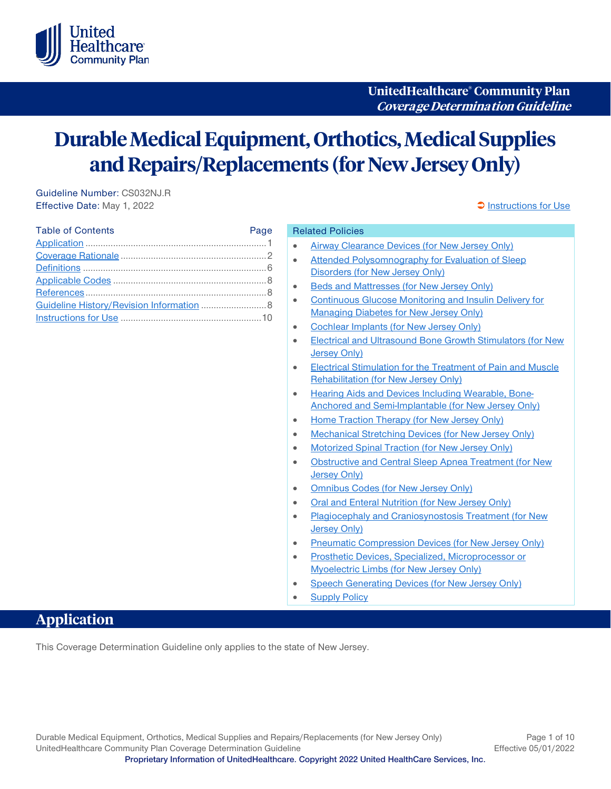

**UnitedHealthcare® Community Plan Coverage Determination Guideline**

# **Durable Medical Equipment, Orthotics, Medical Supplies and Repairs/Replacements (for New Jersey Only)**

Guideline Number: CS032NJ.R Effective Date: May 1, 2022 **[Instructions for Use](#page-9-0)** extending the state of the state of the state of the state of the state of the state of the state of the state of the state of the state of the state of the state of the s

| <b>Table of Contents</b>                  | Page |
|-------------------------------------------|------|
|                                           |      |
|                                           |      |
|                                           |      |
|                                           |      |
|                                           |      |
| Guideline History/Revision Information  8 |      |
|                                           |      |

#### <span id="page-0-1"></span>Related Policies

- [Airway Clearance Devices \(for New Jersey Only\)](https://www.uhcprovider.com/content/dam/provider/docs/public/policies/medicaid-comm-plan/nj/airway-clearance-devices-nj-cs.pdf)
- Attended Polysomnography for Evaluation of Sleep [Disorders \(for New Jersey Only\)](https://www.uhcprovider.com/content/dam/provider/docs/public/policies/medicaid-comm-plan/nj/attended-polysomnography-evaluation-sleep-disorders-nj-cs.pdf)
- [Beds and Mattresses \(for New Jersey Only\)](https://www.uhcprovider.com/content/dam/provider/docs/public/policies/medicaid-comm-plan/nj/beds-mattresses-nj-cs.pdf)
- [Continuous Glucose Monitoring and Insulin Delivery for](https://www.uhcprovider.com/content/dam/provider/docs/public/policies/medicaid-comm-plan/nj/continuous-glucose-monitoring-insulin-delivery-managing-diabetes-nj-cs.pdf)  [Managing Diabetes for New Jersey Only\)](https://www.uhcprovider.com/content/dam/provider/docs/public/policies/medicaid-comm-plan/nj/continuous-glucose-monitoring-insulin-delivery-managing-diabetes-nj-cs.pdf)
- [Cochlear Implants \(for New Jersey Only\)](https://www.uhcprovider.com/content/dam/provider/docs/public/policies/medicaid-comm-plan/nj/cochlear-implants-nj-cs.pdf)
- [Electrical and Ultrasound Bone Growth Stimulators \(for New](https://www.uhcprovider.com/content/dam/provider/docs/public/policies/medicaid-comm-plan/nj/electrical-ultrasound-bone-growth-stimulators-nj-cs.pdf)  [Jersey Only\)](https://www.uhcprovider.com/content/dam/provider/docs/public/policies/medicaid-comm-plan/nj/electrical-ultrasound-bone-growth-stimulators-nj-cs.pdf)
- **Electrical Stimulation for the Treatment of Pain and Muscle** [Rehabilitation \(for New Jersey Only\)](https://www.uhcprovider.com/content/dam/provider/docs/public/policies/medicaid-comm-plan/nj/electrical-stimulation-treatment-pain-muscle-rehabilitation-nj-cs.pdf)
- [Hearing Aids and Devices Including Wearable, Bone-](https://www.uhcprovider.com/content/dam/provider/docs/public/policies/medicaid-comm-plan/nj/hearing-aids-devices-including-wearable-bone-anchored-semi-implantable-nj-cs.pdf)[Anchored and Semi-Implantable \(for New Jersey Only\)](https://www.uhcprovider.com/content/dam/provider/docs/public/policies/medicaid-comm-plan/nj/hearing-aids-devices-including-wearable-bone-anchored-semi-implantable-nj-cs.pdf)
- [Home Traction Therapy](https://www.uhcprovider.com/content/dam/provider/docs/public/policies/medicaid-comm-plan/nj/home-traction-therapy-nj-cs.pdf) (for New Jersey Only)
- [Mechanical Stretching Devices](https://www.uhcprovider.com/content/dam/provider/docs/public/policies/medicaid-comm-plan/nj/mechanical-stretching-devices-nj-cs.pdf) (for New Jersey Only)
- [Motorized Spinal Traction](https://www.uhcprovider.com/content/dam/provider/docs/public/policies/medicaid-comm-plan/nj/motorized-spinal-traction-nj-cs.pdf) (for New Jersey Only)
- Obstructive and Central [Sleep Apnea Treatment \(for New](https://www.uhcprovider.com/content/dam/provider/docs/public/policies/medicaid-comm-plan/nj/obstructive-sleep-apnea-treatment-nj-cs.pdf)  [Jersey Only\)](https://www.uhcprovider.com/content/dam/provider/docs/public/policies/medicaid-comm-plan/nj/obstructive-sleep-apnea-treatment-nj-cs.pdf)
- [Omnibus Codes \(for New Jersey Only\)](https://www.uhcprovider.com/content/dam/provider/docs/public/policies/medicaid-comm-plan/nj/omnibus-codes-nj-cs.pdf)
- [Oral and Enteral Nutrition](https://www.uhcprovider.com/content/dam/provider/docs/public/policies/medicaid-comm-plan/nj/oral-enteral-nutrition-nj-cs.pdf) (for New Jersey Only)
- [Plagiocephaly and Craniosynostosis Treatment \(for New](https://www.uhcprovider.com/content/dam/provider/docs/public/policies/medicaid-comm-plan/nj/plagiocephaly-craniosynostosis-treatment-nj-cs.pdf)  [Jersey Only\)](https://www.uhcprovider.com/content/dam/provider/docs/public/policies/medicaid-comm-plan/nj/plagiocephaly-craniosynostosis-treatment-nj-cs.pdf)
- [Pneumatic Compression Devices \(for New Jersey Only\)](https://www.uhcprovider.com/content/dam/provider/docs/public/policies/medicaid-comm-plan/nj/pneumatic-compression-devices-nj-cs.pdf)
- [Prosthetic Devices, Specialized, Microprocessor or](https://www.uhcprovider.com/content/dam/provider/docs/public/policies/medicaid-comm-plan/nj/prosthetic-devices-specialized-microprocessor-myoelectric-limbs-nj-cs.pdf)  [Myoelectric Limbs \(for New Jersey Only\)](https://www.uhcprovider.com/content/dam/provider/docs/public/policies/medicaid-comm-plan/nj/prosthetic-devices-specialized-microprocessor-myoelectric-limbs-nj-cs.pdf)
- [Speech Generating Devices \(for New Jersey Only\)](https://www.uhcprovider.com/content/dam/provider/docs/public/policies/medicaid-comm-plan/nj/speech-generating-devices-nj-cs.pdf)
- **[Supply Policy](https://www.uhcprovider.com/content/dam/provider/docs/public/policies/medicaid-comm-plan-reimbursement/UHCCP-Supply-Policy-R0006.pdf)**

# <span id="page-0-0"></span>**Application**

This Coverage Determination Guideline only applies to the state of New Jersey.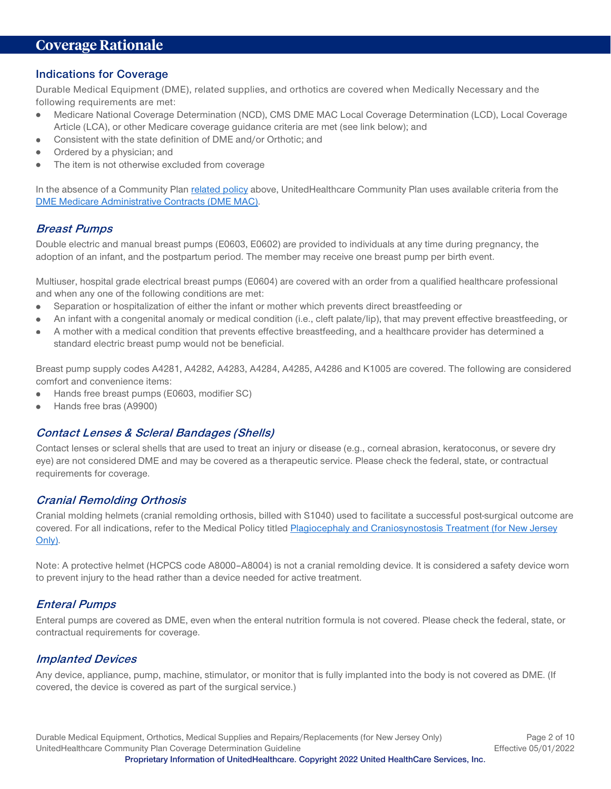# <span id="page-1-0"></span>**Coverage Rationale**

#### <span id="page-1-1"></span>**Indications for Coverage**

Durable Medical Equipment (DME), related supplies, and orthotics are covered when Medically Necessary and the following requirements are met:

- Medicare National Coverage Determination (NCD), CMS DME MAC Local Coverage Determination (LCD), Local Coverage Article (LCA), or other Medicare coverage guidance criteria are met (see link below); and
- Consistent with the state definition of DME and/or Orthotic; and
- Ordered by a physician; and
- The item is not otherwise excluded from coverage

In the absence of a Community Pla[n related policy](#page-0-1) above, UnitedHealthcare Community Plan uses available criteria from th[e](https://www.cms.gov/medicare-coverage-database/search/advanced-search.aspx) [DME Medicare Administrative Contracts \(DME MAC\)](https://www.cms.gov/medicare-coverage-database/search/advanced-search.aspx).

#### **Breast Pumps**

Double electric and manual breast pumps (E0603, E0602) are provided to individuals at any time during pregnancy, the adoption of an infant, and the postpartum period. The member may receive one breast pump per birth event.

Multiuser, hospital grade electrical breast pumps (E0604) are covered with an order from a qualified healthcare professional and when any one of the following conditions are met:

- Separation or hospitalization of either the infant or mother which prevents direct breastfeeding or
- An infant with a congenital anomaly or medical condition (i.e., cleft palate/lip), that may prevent effective breastfeeding, or  $\bullet$
- A mother with a medical condition that prevents effective breastfeeding, and a healthcare provider has determined a  $\bullet$ standard electric breast pump would not be beneficial.

Breast pump supply codes A4281, A4282, A4283, A4284, A4285, A4286 and K1005 are covered. The following are considered comfort and convenience items:

- Hands free breast pumps (E0603, modifier SC)
- Hands free bras (A9900)

#### **Contact Lenses & Scleral Bandages (Shells)**

Contact lenses or scleral shells that are used to treat an injury or disease (e.g., corneal abrasion, keratoconus, or severe dry eye) are not considered DME and may be covered as a therapeutic service. Please check the federal, state, or contractual requirements for coverage.

#### **Cranial Remolding Orthosis**

Cranial molding helmets (cranial remolding orthosis, billed with S1040) used to facilitate a successful post-surgical outcome are covered. For all indications, refer to the Medical Policy titled [Plagiocephaly and Craniosynostosis Treatment](https://www.uhcprovider.com/content/dam/provider/docs/public/policies/medicaid-comm-plan/nj/plagiocephaly-craniosynostosis-treatment-nj-cs.pdf) (for New Jersey [Only\).](https://www.uhcprovider.com/content/dam/provider/docs/public/policies/medicaid-comm-plan/nj/plagiocephaly-craniosynostosis-treatment-nj-cs.pdf)

Note: A protective helmet (HCPCS code A8000–A8004) is not a cranial remolding device. It is considered a safety device worn to prevent injury to the head rather than a device needed for active treatment.

#### **Enteral Pumps**

Enteral pumps are covered as DME, even when the enteral nutrition formula is not covered. Please check the federal, state, or contractual requirements for coverage.

#### **Implanted Devices**

Any device, appliance, pump, machine, stimulator, or monitor that is fully implanted into the body is not covered as DME. (If covered, the device is covered as part of the surgical service.)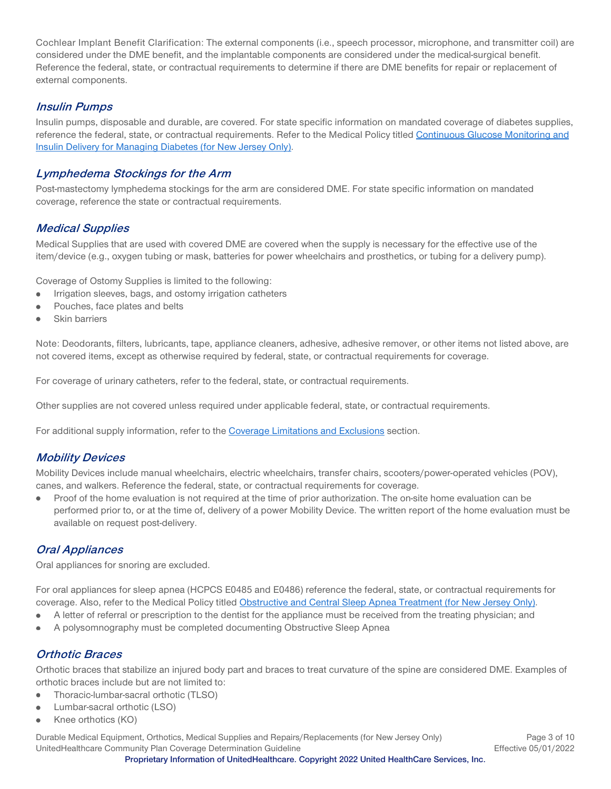Cochlear Implant Benefit Clarification: The external components (i.e., speech processor, microphone, and transmitter coil) are considered under the DME benefit, and the implantable components are considered under the medical-surgical benefit. Reference the federal, state, or contractual requirements to determine if there are DME benefits for repair or replacement of external components.

## **Insulin Pumps**

Insulin pumps, disposable and durable, are covered. For state specific information on mandated coverage of diabetes supplies, reference the federal, state, or contractual requirements. Refer to the Medical Policy titled [Continuous Glucose Monitoring and](https://www.uhcprovider.com/content/dam/provider/docs/public/policies/medicaid-comm-plan/nj/continuous-glucose-monitoring-insulin-delivery-managing-diabetes-nj-cs.pdf)  [Insulin Delivery for Managing Diabetes](https://www.uhcprovider.com/content/dam/provider/docs/public/policies/medicaid-comm-plan/nj/continuous-glucose-monitoring-insulin-delivery-managing-diabetes-nj-cs.pdf) (for New Jersey Only).

## **Lymphedema Stockings for the Arm**

Post-mastectomy lymphedema stockings for the arm are considered DME. For state specific information on mandated coverage, reference the state or contractual requirements.

## **Medical Supplies**

Medical Supplies that are used with covered DME are covered when the supply is necessary for the effective use of the item/device (e.g., oxygen tubing or mask, batteries for power wheelchairs and prosthetics, or tubing for a delivery pump).

Coverage of Ostomy Supplies is limited to the following:

- Irrigation sleeves, bags, and ostomy irrigation catheters
- Pouches, face plates and belts
- Skin barriers

Note: Deodorants, filters, lubricants, tape, appliance cleaners, adhesive, adhesive remover, or other items not listed above, are not covered items, except as otherwise required by federal, state, or contractual requirements for coverage.

For coverage of urinary catheters, refer to the federal, state, or contractual requirements.

Other supplies are not covered unless required under applicable federal, state, or contractual requirements.

For additional supply information, refer to the [Coverage Limitations and Exclusions](#page-4-0) section.

## **Mobility Devices**

Mobility Devices include manual wheelchairs, electric wheelchairs, transfer chairs, scooters/power-operated vehicles (POV), canes, and walkers. Reference the federal, state, or contractual requirements for coverage.

Proof of the home evaluation is not required at the time of prior authorization. The on-site home evaluation can be  $\bullet$ performed prior to, or at the time of, delivery of a power Mobility Device. The written report of the home evaluation must be available on request post-delivery.

### <span id="page-2-0"></span>**Oral Appliances**

Oral appliances for snoring are excluded.

For oral appliances for sleep apnea (HCPCS E0485 and E0486) reference the federal, state, or contractual requirements for coverage. Also, refer to the Medical Policy titled Obstructive and Central [Sleep Apnea Treatment](https://www.uhcprovider.com/content/dam/provider/docs/public/policies/medicaid-comm-plan/nj/obstructive-sleep-apnea-treatment-nj-cs.pdf) (for New Jersey Only).

- A letter of referral or prescription to the dentist for the appliance must be received from the treating physician; and
- A polysomnography must be completed documenting Obstructive Sleep Apnea ė

## **Orthotic Braces**

Orthotic braces that stabilize an injured body part and braces to treat curvature of the spine are considered DME. Examples of orthotic braces include but are not limited to:

- Thoracic-lumbar-sacral orthotic (TLSO) ٠
- Lumbar-sacral orthotic (LSO)
- Knee orthotics (KO)

Durable Medical Equipment, Orthotics, Medical Supplies and Repairs/Replacements (for New Jersey Only) Page 3 of 10 UnitedHealthcare Community Plan Coverage Determination Guideline **Effective 05/01/2022**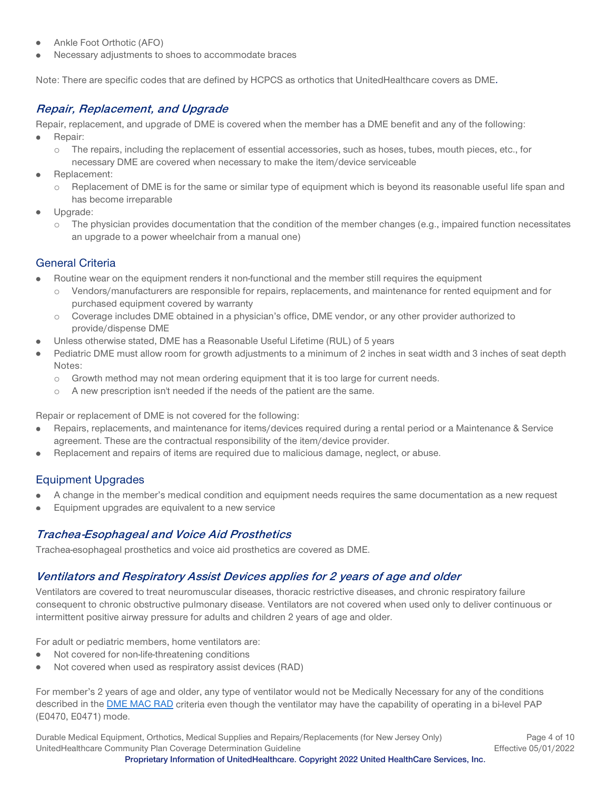- Ankle Foot Orthotic (AFO)
- Necessary adjustments to shoes to accommodate braces

Note: There are specific codes that are defined by HCPCS as orthotics that UnitedHealthcare covers as DME**.**

## <span id="page-3-0"></span>**Repair, Replacement, and Upgrade**

Repair, replacement, and upgrade of DME is covered when the member has a DME benefit and any of the following:

- Repair:  $\bullet$ 
	- o The repairs, including the replacement of essential accessories, such as hoses, tubes, mouth pieces, etc., for necessary DME are covered when necessary to make the item/device serviceable
- Replacement:
	- o Replacement of DME is for the same or similar type of equipment which is beyond its reasonable useful life span and has become irreparable
- Upgrade:
	- o The physician provides documentation that the condition of the member changes (e.g., impaired function necessitates an upgrade to a power wheelchair from a manual one)

## General Criteria

- Routine wear on the equipment renders it non-functional and the member still requires the equipment
	- Vendors/manufacturers are responsible for repairs, replacements, and maintenance for rented equipment and for purchased equipment covered by warranty
	- o Coverage includes DME obtained in a physician's office, DME vendor, or any other provider authorized to provide/dispense DME
- Unless otherwise stated, DME has a Reasonable Useful Lifetime (RUL) of 5 years
- Pediatric DME must allow room for growth adjustments to a minimum of 2 inches in seat width and 3 inches of seat depth Notes:
	- o Growth method may not mean ordering equipment that it is too large for current needs.
	- o A new prescription isn't needed if the needs of the patient are the same.

Repair or replacement of DME is not covered for the following:

- Repairs, replacements, and maintenance for items/devices required during a rental period or a Maintenance & Service agreement. These are the contractual responsibility of the item/device provider.
- Replacement and repairs of items are required due to malicious damage, neglect, or abuse.

## Equipment Upgrades

- A change in the member's medical condition and equipment needs requires the same documentation as a new request
- Equipment upgrades are equivalent to a new service

## **Trachea-Esophageal and Voice Aid Prosthetics**

Trachea-esophageal prosthetics and voice aid prosthetics are covered as DME.

### **Ventilators and Respiratory Assist Devices applies for 2 years of age and older**

Ventilators are covered to treat neuromuscular diseases, thoracic restrictive diseases, and chronic respiratory failure consequent to chronic obstructive pulmonary disease. Ventilators are not covered when used only to deliver continuous or intermittent positive airway pressure for adults and children 2 years of age and older.

For adult or pediatric members, home ventilators are:

- Not covered for non-life-threatening conditions
- $\bullet$ Not covered when used as respiratory assist devices (RAD)

For member's 2 years of age and older, any type of ventilator would not be Medically Necessary for any of the conditions described in the **DME MAC RAD** criteria even though the ventilator may have the capability of operating in a bi-level PAP (E0470, E0471) mode.

Durable Medical Equipment, Orthotics, Medical Supplies and Repairs/Replacements (for New Jersey Only) Page 4 of 10 UnitedHealthcare Community Plan Coverage Determination Guideline **Effective 05/01/2022**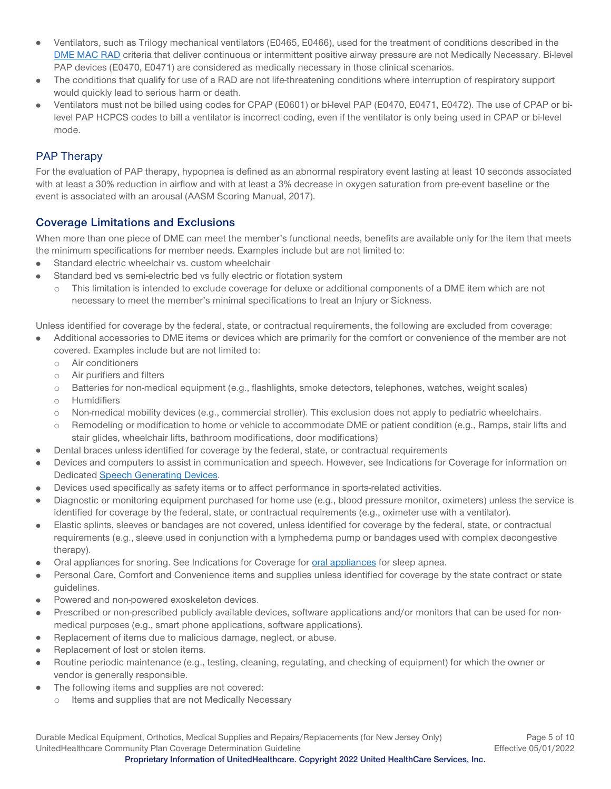- Ventilators, such as Trilogy mechanical ventilators (E0465, E0466), used for the treatment of conditions described in the  $\ddot{\phantom{a}}$ [DME MAC RAD](https://www.cms.gov/medicare-coverage-database/view/lcd.aspx?lcdid=33800&ver=26&keyword=&keywordType=starts&areaId=s56&docType=6,3,5,1,F,P&contractOption=all&hcpcsOption=code&hcpcsStartCode=E0471&hcpcsEndCode=E0471&sortBy=title&bc=1) criteria that deliver continuous or intermittent positive airway pressure are not Medically Necessary. Bi-level PAP devices (E0470, E0471) are considered as medically necessary in those clinical scenarios.
- $\bullet$ The conditions that qualify for use of a RAD are not life-threatening conditions where interruption of respiratory support would quickly lead to serious harm or death.
- Ventilators must not be billed using codes for CPAP (E0601) or bi-level PAP (E0470, E0471, E0472). The use of CPAP or bilevel PAP HCPCS codes to bill a ventilator is incorrect coding, even if the ventilator is only being used in CPAP or bi-level mode.

### PAP Therapy

For the evaluation of PAP therapy, hypopnea is defined as an abnormal respiratory event lasting at least 10 seconds associated with at least a 30% reduction in airflow and with at least a 3% decrease in oxygen saturation from pre-event baseline or the event is associated with an arousal (AASM Scoring Manual, 2017).

### <span id="page-4-0"></span>**Coverage Limitations and Exclusions**

When more than one piece of DME can meet the member's functional needs, benefits are available only for the item that meets the minimum specifications for member needs. Examples include but are not limited to:

- Standard electric wheelchair vs. custom wheelchair  $\bullet$
- Standard bed vs semi-electric bed vs fully electric or flotation system
	- o This limitation is intended to exclude coverage for deluxe or additional components of a DME item which are not necessary to meet the member's minimal specifications to treat an Injury or Sickness.

Unless identified for coverage by the federal, state, or contractual requirements, the following are excluded from coverage:

- Additional accessories to DME items or devices which are primarily for the comfort or convenience of the member are not covered. Examples include but are not limited to:
	- o Air conditioners
	- o Air purifiers and filters
	- o Batteries for non-medical equipment (e.g., flashlights, smoke detectors, telephones, watches, weight scales)
	- o Humidifiers
	- o Non-medical mobility devices (e.g., commercial stroller). This exclusion does not apply to pediatric wheelchairs.
	- o Remodeling or modification to home or vehicle to accommodate DME or patient condition (e.g., Ramps, stair lifts and stair glides, wheelchair lifts, bathroom modifications, door modifications)
- Dental braces unless identified for coverage by the federal, state, or contractual requirements  $\bullet$
- Devices and computers to assist in communication and speech. However, see [Indications for Coverage](#page-1-1) for information on Dedicated [Speech Generating Devices.](#page-6-0)
- Devices used specifically as safety items or to affect performance in sports-related activities.  $\bullet$
- Diagnostic or monitoring equipment purchased for home use (e.g., blood pressure monitor, oximeters) unless the service is  $\bullet$ identified for coverage by the federal, state, or contractual requirements (e.g., oximeter use with a ventilator).
- Elastic splints, sleeves or bandages are not covered, unless identified for coverage by the federal, state, or contractual  $\bullet$ requirements (e.g., sleeve used in conjunction with a lymphedema pump or bandages used with complex decongestive therapy).
- Oral appliances for snoring. See [Indications for Coverage](#page-1-1) fo[r oral appliances](#page-2-0) for sleep apnea.
- Personal Care, Comfort and Convenience items and supplies unless identified for coverage by the state contract or state guidelines.
- Powered and non-powered exoskeleton devices.  $\bullet$
- Prescribed or non-prescribed publicly available devices, software applications and/or monitors that can be used for nonmedical purposes (e.g., smart phone applications, software applications).
- Replacement of items due to malicious damage, neglect, or abuse.  $\bullet$
- Replacement of lost or stolen items.
- Routine periodic maintenance (e.g., testing, cleaning, regulating, and checking of equipment) for which the owner or vendor is generally responsible.
- The following items and supplies are not covered:  $\bullet$ 
	- o Items and supplies that are not Medically Necessary

Durable Medical Equipment, Orthotics, Medical Supplies and Repairs/Replacements (for New Jersey Only) Page 5 of 10 UnitedHealthcare Community Plan Coverage Determination Guideline **Effective 05/01/2022 Proprietary Information of UnitedHealthcare. Copyright 2022 United HealthCare Services, Inc.**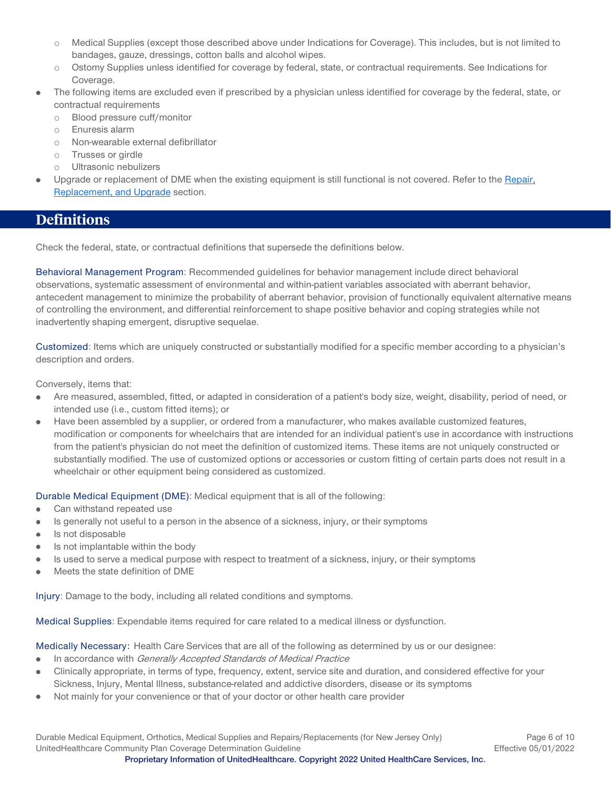- o Medical Supplies (except those described above under [Indications for Coverage\)](#page-1-1). This includes, but is not limited to bandages, gauze, dressings, cotton balls and alcohol wipes.
- o Ostomy Supplies unless identified for coverage by federal, state, or contractual requirements. See [Indications for](#page-1-1)  [Coverage.](#page-1-1)
- The following items are excluded even if prescribed by a physician unless identified for coverage by the federal, state, or contractual requirements
	- o Blood pressure cuff/monitor
	- o Enuresis alarm
	- o Non-wearable external defibrillator
	- o Trusses or girdle
	- o Ultrasonic nebulizers
- Upgrade or replacement of DME when the existing equipment is still functional is not covered. Refer to the Repair, [Replacement,](#page-3-0) and Upgrade section.

## <span id="page-5-0"></span>**Definitions**

Check the federal, state, or contractual definitions that supersede the definitions below.

Behavioral Management Program: Recommended guidelines for behavior management include direct behavioral observations, systematic assessment of environmental and within-patient variables associated with aberrant behavior, antecedent management to minimize the probability of aberrant behavior, provision of functionally equivalent alternative means of controlling the environment, and differential reinforcement to shape positive behavior and coping strategies while not inadvertently shaping emergent, disruptive sequelae.

Customized: Items which are uniquely constructed or substantially modified for a specific member according to a physician's description and orders.

Conversely, items that:

- Are measured, assembled, fitted, or adapted in consideration of a patient's body size, weight, disability, period of need, or intended use (i.e., custom fitted items); or
- Have been assembled by a supplier, or ordered from a manufacturer, who makes available customized features,  $\bullet$ modification or components for wheelchairs that are intended for an individual patient's use in accordance with instructions from the patient's physician do not meet the definition of customized items. These items are not uniquely constructed or substantially modified. The use of customized options or accessories or custom fitting of certain parts does not result in a wheelchair or other equipment being considered as customized.

Durable Medical Equipment (DME): Medical equipment that is all of the following:

- Can withstand repeated use ė
- Is generally not useful to a person in the absence of a sickness, injury, or their symptoms  $\bullet$
- Is not disposable
- Is not implantable within the body
- Is used to serve a medical purpose with respect to treatment of a sickness, injury, or their symptoms
- Meets the state definition of DME ٠

Injury: Damage to the body, including all related conditions and symptoms.

Medical Supplies: Expendable items required for care related to a medical illness or dysfunction.

Medically Necessary: Health Care Services that are all of the following as determined by us or our designee:

- In accordance with Generally Accepted Standards of Medical Practice  $\bullet$
- Clinically appropriate, in terms of type, frequency, extent, service site and duration, and considered effective for your Sickness, Injury, Mental Illness, substance-related and addictive disorders, disease or its symptoms
- Not mainly for your convenience or that of your doctor or other health care provider

Durable Medical Equipment, Orthotics, Medical Supplies and Repairs/Replacements (for New Jersey Only) Page 6 of 10 UnitedHealthcare Community Plan Coverage Determination Guideline **Effective 05/01/2022 Proprietary Information of UnitedHealthcare. Copyright 2022 United HealthCare Services, Inc.**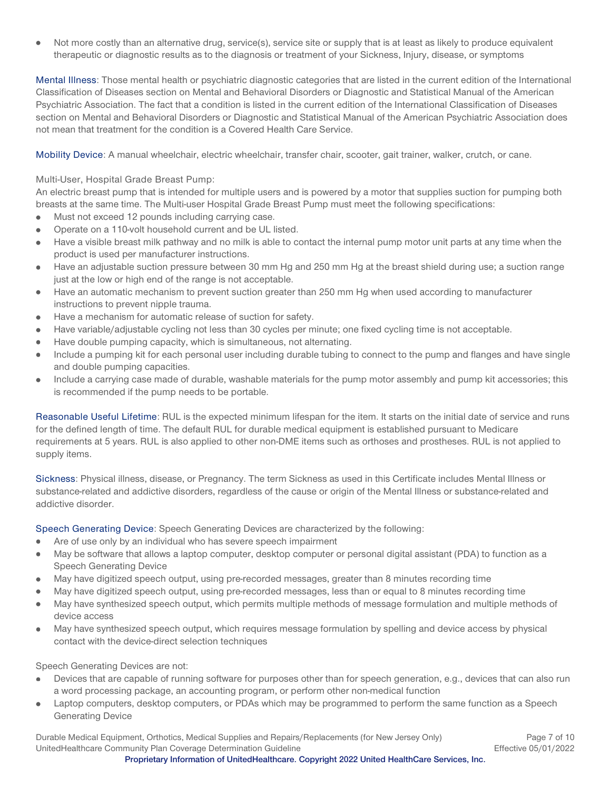Not more costly than an alternative drug, service(s), service site or supply that is at least as likely to produce equivalent  $\bullet$ therapeutic or diagnostic results as to the diagnosis or treatment of your Sickness, Injury, disease, or symptoms

Mental Illness: Those mental health or psychiatric diagnostic categories that are listed in the current edition of the International Classification of Diseases section on Mental and Behavioral Disorders or Diagnostic and Statistical Manual of the American Psychiatric Association. The fact that a condition is listed in the current edition of the International Classification of Diseases section on Mental and Behavioral Disorders or Diagnostic and Statistical Manual of the American Psychiatric Association does not mean that treatment for the condition is a Covered Health Care Service.

Mobility Device: A manual wheelchair, electric wheelchair, transfer chair, scooter, gait trainer, walker, crutch, or cane.

Multi-User, Hospital Grade Breast Pump:

An electric breast pump that is intended for multiple users and is powered by a motor that supplies suction for pumping both breasts at the same time. The Multi-user Hospital Grade Breast Pump must meet the following specifications:

- Must not exceed 12 pounds including carrying case.  $\bullet$
- Operate on a 110-volt household current and be UL listed.
- Have a visible breast milk pathway and no milk is able to contact the internal pump motor unit parts at any time when the product is used per manufacturer instructions.
- Have an adjustable suction pressure between 30 mm Hg and 250 mm Hg at the breast shield during use; a suction range  $\bullet$ just at the low or high end of the range is not acceptable.
- Have an automatic mechanism to prevent suction greater than 250 mm Hg when used according to manufacturer  $\bullet$ instructions to prevent nipple trauma.
- Have a mechanism for automatic release of suction for safety. ė
- Have variable/adjustable cycling not less than 30 cycles per minute; one fixed cycling time is not acceptable.
- Have double pumping capacity, which is simultaneous, not alternating.
- Include a pumping kit for each personal user including durable tubing to connect to the pump and flanges and have single and double pumping capacities.
- Include a carrying case made of durable, washable materials for the pump motor assembly and pump kit accessories; this  $\bullet$ is recommended if the pump needs to be portable.

Reasonable Useful Lifetime: RUL is the expected minimum lifespan for the item. It starts on the initial date of service and runs for the defined length of time. The default RUL for durable medical equipment is established pursuant to Medicare requirements at 5 years. RUL is also applied to other non-DME items such as orthoses and prostheses. RUL is not applied to supply items.

Sickness: Physical illness, disease, or Pregnancy. The term Sickness as used in this Certificate includes Mental Illness or substance-related and addictive disorders, regardless of the cause or origin of the Mental Illness or substance-related and addictive disorder.

<span id="page-6-0"></span>Speech Generating Device: Speech Generating Devices are characterized by the following:

- Are of use only by an individual who has severe speech impairment
- May be software that allows a laptop computer, desktop computer or personal digital assistant (PDA) to function as a Speech Generating Device
- May have digitized speech output, using pre-recorded messages, greater than 8 minutes recording time
- May have digitized speech output, using pre-recorded messages, less than or equal to 8 minutes recording time
- May have synthesized speech output, which permits multiple methods of message formulation and multiple methods of ė device access
- May have synthesized speech output, which requires message formulation by spelling and device access by physical contact with the device-direct selection techniques

Speech Generating Devices are not:

- Devices that are capable of running software for purposes other than for speech generation, e.g., devices that can also run a word processing package, an accounting program, or perform other non-medical function
- Laptop computers, desktop computers, or PDAs which may be programmed to perform the same function as a Speech Generating Device

Durable Medical Equipment, Orthotics, Medical Supplies and Repairs/Replacements (for New Jersey Only) Page 7 of 10 UnitedHealthcare Community Plan Coverage Determination Guideline **Effective 05/01/2022**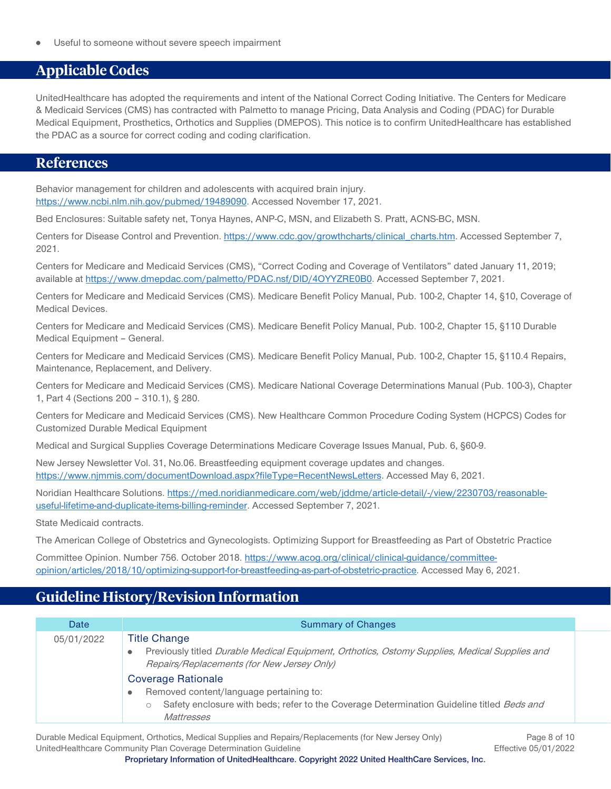Useful to someone without severe speech impairment

# <span id="page-7-0"></span>**Applicable Codes**

UnitedHealthcare has adopted the requirements and intent of the National Correct Coding Initiative. The Centers for Medicare & Medicaid Services (CMS) has contracted with Palmetto to manage Pricing, Data Analysis and Coding (PDAC) for Durable Medical Equipment, Prosthetics, Orthotics and Supplies (DMEPOS). This notice is to confirm UnitedHealthcare has established the PDAC as a source for correct coding and coding clarification.

## <span id="page-7-1"></span>**References**

Behavior management for children and adolescents with acquired brain injury. [https://www.ncbi.nlm.nih.gov/pubmed/19489090.](https://www.ncbi.nlm.nih.gov/pubmed/19489090) Accessed November 17, 2021.

Bed Enclosures: Suitable safety net, Tonya Haynes, ANP-C, MSN, and Elizabeth S. Pratt, ACNS-BC, MSN.

Centers for Disease Control and Prevention. [https://www.cdc.gov/growthcharts/clinical\\_charts.htm.](https://www.cdc.gov/growthcharts/clinical_charts.htm) Accessed September 7, 2021.

Centers for Medicare and Medicaid Services (CMS), "Correct Coding and Coverage of Ventilators" dated January 11, 2019; available at [https://www.dmepdac.com/palmetto/PDAC.nsf/DID/4OYYZRE0B0.](https://www.dmepdac.com/palmetto/PDAC.nsf/DID/4OYYZRE0B0) Accessed September 7, 2021.

Centers for Medicare and Medicaid Services (CMS). Medicare Benefit Policy Manual, Pub. 100-2, Chapter 14, §10, Coverage of Medical Devices.

Centers for Medicare and Medicaid Services (CMS). Medicare Benefit Policy Manual, Pub. 100-2, Chapter 15, §110 Durable Medical Equipment – General.

Centers for Medicare and Medicaid Services (CMS). Medicare Benefit Policy Manual, Pub. 100-2, Chapter 15, §110.4 Repairs, Maintenance, Replacement, and Delivery.

Centers for Medicare and Medicaid Services (CMS). Medicare National Coverage Determinations Manual (Pub. 100-3), Chapter 1, Part 4 (Sections 200 – 310.1), § 280.

Centers for Medicare and Medicaid Services (CMS). New Healthcare Common Procedure Coding System (HCPCS) Codes for Customized Durable Medical Equipment

Medical and Surgical Supplies Coverage Determinations Medicare Coverage Issues Manual, Pub. 6, §60-9.

New Jersey Newsletter Vol. 31, No.06. Breastfeeding equipment coverage updates and changes. [https://www.njmmis.com/documentDownload.aspx?fileType=RecentNewsLetters.](https://www.njmmis.com/documentDownload.aspx?fileType=RecentNewsLetters) Accessed May 6, 2021.

Noridian Healthcare Solutions[. https://med.noridianmedicare.com/web/jddme/article-detail/-/view/2230703/reasonable](https://med.noridianmedicare.com/web/jddme/article-detail/-/view/2230703/reasonable-useful-lifetime-and-duplicate-items-billing-reminder)[useful-lifetime-and-duplicate-items-billing-reminder.](https://med.noridianmedicare.com/web/jddme/article-detail/-/view/2230703/reasonable-useful-lifetime-and-duplicate-items-billing-reminder) Accessed September 7, 2021.

State Medicaid contracts.

The American College of Obstetrics and Gynecologists. Optimizing Support for Breastfeeding as Part of Obstetric Practice

Committee Opinion. Number 756. October 2018. [https://www.acog.org/clinical/clinical-guidance/committee](https://www.acog.org/clinical/clinical-guidance/committee-opinion/articles/2018/10/optimizing-support-for-breastfeeding-as-part-of-obstetric-practice)[opinion/articles/2018/10/optimizing-support-for-breastfeeding-as-part-of-obstetric-practice.](https://www.acog.org/clinical/clinical-guidance/committee-opinion/articles/2018/10/optimizing-support-for-breastfeeding-as-part-of-obstetric-practice) Accessed May 6, 2021.

# <span id="page-7-2"></span>**Guideline History/Revision Information**

| Date       | <b>Summary of Changes</b>                                                                                                                                                                                                          |
|------------|------------------------------------------------------------------------------------------------------------------------------------------------------------------------------------------------------------------------------------|
| 05/01/2022 | <b>Title Change</b><br>Previously titled Durable Medical Equipment, Orthotics, Ostomy Supplies, Medical Supplies and                                                                                                               |
|            | Repairs/Replacements (for New Jersey Only)<br><b>Coverage Rationale</b><br>Removed content/language pertaining to:<br>۰<br>Safety enclosure with beds; refer to the Coverage Determination Guideline titled Beds and<br>Mattresses |

Durable Medical Equipment, Orthotics, Medical Supplies and Repairs/Replacements (for New Jersey Only) Page 8 of 10 UnitedHealthcare Community Plan Coverage Determination Guideline **Effective 05/01/2022**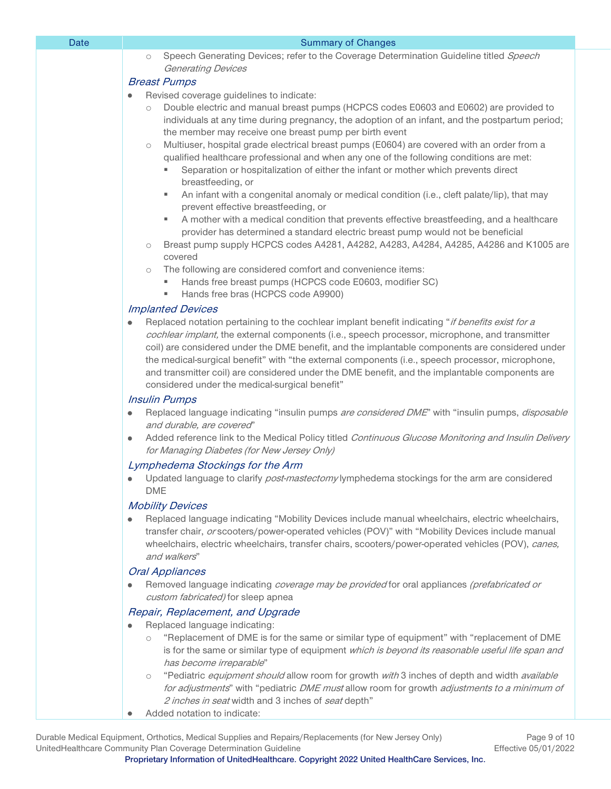| Dalt | <b>Summary or Gridinges</b>                                                                                                                                                                                                                                                                                                                                                                                                                                                                                                                                                              |
|------|------------------------------------------------------------------------------------------------------------------------------------------------------------------------------------------------------------------------------------------------------------------------------------------------------------------------------------------------------------------------------------------------------------------------------------------------------------------------------------------------------------------------------------------------------------------------------------------|
|      | Speech Generating Devices; refer to the Coverage Determination Guideline titled Speech<br>$\circlearrowright$                                                                                                                                                                                                                                                                                                                                                                                                                                                                            |
|      | <b>Generating Devices</b>                                                                                                                                                                                                                                                                                                                                                                                                                                                                                                                                                                |
|      | <b>Breast Pumps</b><br>Revised coverage guidelines to indicate:                                                                                                                                                                                                                                                                                                                                                                                                                                                                                                                          |
|      | Double electric and manual breast pumps (HCPCS codes E0603 and E0602) are provided to<br>$\circ$<br>individuals at any time during pregnancy, the adoption of an infant, and the postpartum period;<br>the member may receive one breast pump per birth event<br>Multiuser, hospital grade electrical breast pumps (E0604) are covered with an order from a<br>$\circlearrowright$<br>qualified healthcare professional and when any one of the following conditions are met:<br>Separation or hospitalization of either the infant or mother which prevents direct<br>breastfeeding, or |
|      | An infant with a congenital anomaly or medical condition (i.e., cleft palate/lip), that may<br>ш<br>prevent effective breastfeeding, or<br>A mother with a medical condition that prevents effective breastfeeding, and a healthcare<br>provider has determined a standard electric breast pump would not be beneficial<br>Breast pump supply HCPCS codes A4281, A4282, A4283, A4284, A4285, A4286 and K1005 are<br>$\circlearrowright$<br>covered                                                                                                                                       |
|      | The following are considered comfort and convenience items:<br>$\circ$<br>Hands free breast pumps (HCPCS code E0603, modifier SC)<br>Hands free bras (HCPCS code A9900)                                                                                                                                                                                                                                                                                                                                                                                                                  |
|      | <b>Implanted Devices</b>                                                                                                                                                                                                                                                                                                                                                                                                                                                                                                                                                                 |
|      | Replaced notation pertaining to the cochlear implant benefit indicating "if benefits exist for a<br>cochlear implant, the external components (i.e., speech processor, microphone, and transmitter<br>coil) are considered under the DME benefit, and the implantable components are considered under<br>the medical-surgical benefit" with "the external components (i.e., speech processor, microphone,<br>and transmitter coil) are considered under the DME benefit, and the implantable components are<br>considered under the medical-surgical benefit"<br><b>Insulin Pumps</b>    |
|      | Replaced language indicating "insulin pumps are considered DME" with "insulin pumps, disposable<br>۰<br>and durable, are covered"                                                                                                                                                                                                                                                                                                                                                                                                                                                        |
|      | Added reference link to the Medical Policy titled Continuous Glucose Monitoring and Insulin Delivery<br>۰<br>for Managing Diabetes (for New Jersey Only)                                                                                                                                                                                                                                                                                                                                                                                                                                 |
|      | Lymphedema Stockings for the Arm                                                                                                                                                                                                                                                                                                                                                                                                                                                                                                                                                         |
|      | Updated language to clarify <i>post-mastectomy</i> lymphedema stockings for the arm are considered<br><b>DME</b>                                                                                                                                                                                                                                                                                                                                                                                                                                                                         |
|      | <b>Mobility Devices</b><br>Replaced language indicating "Mobility Devices include manual wheelchairs, electric wheelchairs,<br>transfer chair, or scooters/power-operated vehicles (POV)" with "Mobility Devices include manual<br>wheelchairs, electric wheelchairs, transfer chairs, scooters/power-operated vehicles (POV), canes,<br>and walkers"                                                                                                                                                                                                                                    |
|      | <b>Oral Appliances</b><br>Removed language indicating <i>coverage may be provided</i> for oral appliances (prefabricated or<br>custom fabricated) for sleep apnea                                                                                                                                                                                                                                                                                                                                                                                                                        |
|      | Repair, Replacement, and Upgrade<br>Replaced language indicating:<br>"Replacement of DME is for the same or similar type of equipment" with "replacement of DME<br>$\circlearrowright$<br>is for the same or similar type of equipment which is beyond its reasonable useful life span and<br>has become irreparable"                                                                                                                                                                                                                                                                    |
|      | "Pediatric equipment should allow room for growth with 3 inches of depth and width available<br>$\circlearrowright$<br>for adjustments" with "pediatric DME must allow room for growth adjustments to a minimum of<br>2 inches in seat width and 3 inches of seat depth"<br>Added notation to indicate:                                                                                                                                                                                                                                                                                  |
|      |                                                                                                                                                                                                                                                                                                                                                                                                                                                                                                                                                                                          |

Date Summary of Changes

Durable Medical Equipment, Orthotics, Medical Supplies and Repairs/Replacements (for New Jersey Only) Page 9 of 10<br>1/2022 / Effective 05/01/2022 UnitedHealthcare Community Plan Coverage Determination Guideline **Proprietary Information of UnitedHealthcare. Copyright 2022 United HealthCare Services, Inc.**